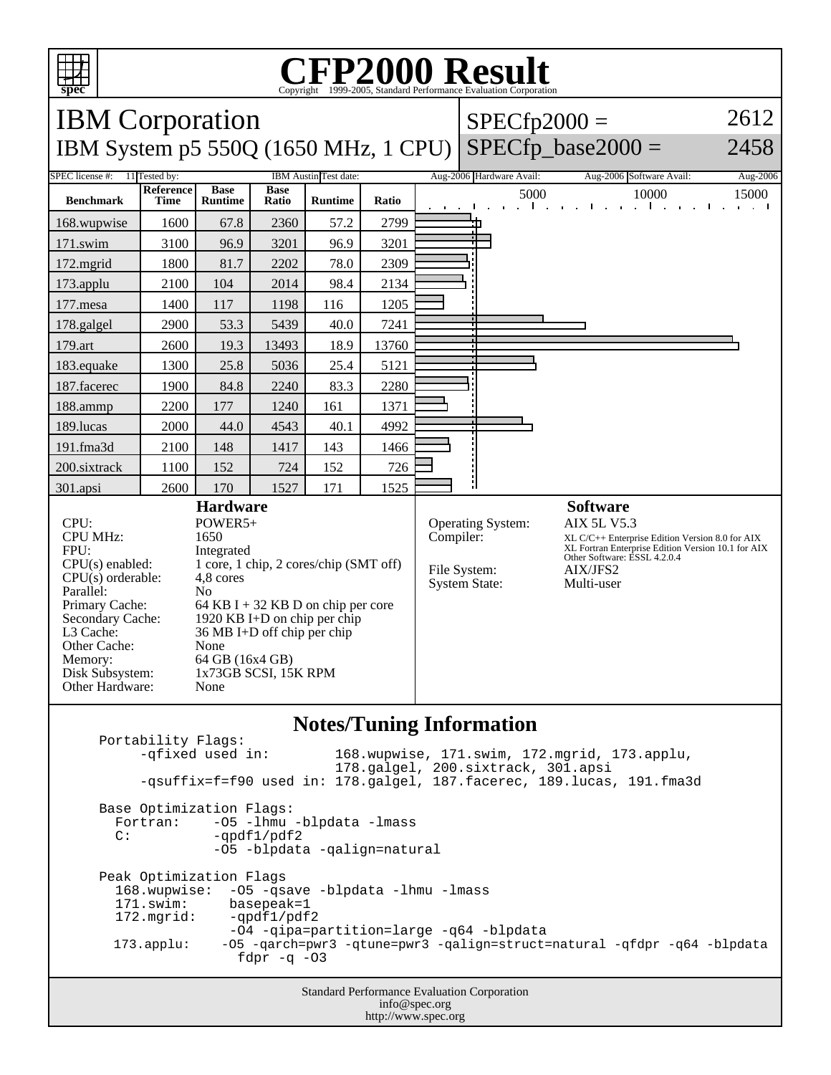

## C<sub>opyright</sub> ©1999-2005, Standard Performance Evaluation Corporation

| <b>IBM</b> Corporation                                                                                                                                                                                                                                                                                                                                                                                                                                                                      |                          |                               |                      |                |           |                                                                  | $SPECfp2000 =$                                                                                                                                                                                           |                                                                                   | 2612                 |
|---------------------------------------------------------------------------------------------------------------------------------------------------------------------------------------------------------------------------------------------------------------------------------------------------------------------------------------------------------------------------------------------------------------------------------------------------------------------------------------------|--------------------------|-------------------------------|----------------------|----------------|-----------|------------------------------------------------------------------|----------------------------------------------------------------------------------------------------------------------------------------------------------------------------------------------------------|-----------------------------------------------------------------------------------|----------------------|
| IBM System p5 550Q (1650 MHz, 1 CPU)                                                                                                                                                                                                                                                                                                                                                                                                                                                        |                          |                               |                      |                |           |                                                                  |                                                                                                                                                                                                          | $SPECfp\_base2000 =$                                                              | 2458                 |
| <b>SPEC</b> license #:<br>11 Tested by:<br>IBM Austin Test date:                                                                                                                                                                                                                                                                                                                                                                                                                            |                          |                               |                      |                |           |                                                                  | Aug-2006 Hardware Avail:                                                                                                                                                                                 | Aug-2006 Software Avail:                                                          | Aug-2006             |
| <b>Benchmark</b>                                                                                                                                                                                                                                                                                                                                                                                                                                                                            | Reference<br><b>Time</b> | <b>Base</b><br><b>Runtime</b> | <b>Base</b><br>Ratio | <b>Runtime</b> | Ratio     |                                                                  | 5000                                                                                                                                                                                                     | 10000<br>$-1 - 1$<br>$\mathbf{r} = \mathbf{r} \times \mathbf{r}$<br>$\sim$ $\sim$ | 15000<br>and a state |
| 168.wupwise                                                                                                                                                                                                                                                                                                                                                                                                                                                                                 | 1600                     | 67.8                          | 2360                 | 57.2           | 2799      |                                                                  |                                                                                                                                                                                                          |                                                                                   |                      |
| 171.swim                                                                                                                                                                                                                                                                                                                                                                                                                                                                                    | 3100                     | 96.9                          | 3201                 | 96.9           | 3201      |                                                                  |                                                                                                                                                                                                          |                                                                                   |                      |
| 172.mgrid                                                                                                                                                                                                                                                                                                                                                                                                                                                                                   | 1800                     | 81.7                          | 2202                 | 78.0           | 2309      |                                                                  |                                                                                                                                                                                                          |                                                                                   |                      |
| 173.applu                                                                                                                                                                                                                                                                                                                                                                                                                                                                                   | 2100                     | 104                           | 2014                 | 98.4           | 2134      |                                                                  |                                                                                                                                                                                                          |                                                                                   |                      |
| 177.mesa                                                                                                                                                                                                                                                                                                                                                                                                                                                                                    | 1400                     | 117                           | 1198                 | 116            | 1205      |                                                                  |                                                                                                                                                                                                          |                                                                                   |                      |
| 178.galgel                                                                                                                                                                                                                                                                                                                                                                                                                                                                                  | 2900                     | 53.3                          | 5439                 | 40.0           | 7241      |                                                                  |                                                                                                                                                                                                          |                                                                                   |                      |
| 179.art                                                                                                                                                                                                                                                                                                                                                                                                                                                                                     | 2600                     | 19.3                          | 13493                | 18.9           | 13760     |                                                                  |                                                                                                                                                                                                          |                                                                                   |                      |
| 183.equake                                                                                                                                                                                                                                                                                                                                                                                                                                                                                  | 1300                     | 25.8                          | 5036                 | 25.4           | 5121      |                                                                  |                                                                                                                                                                                                          |                                                                                   |                      |
| 187.facerec                                                                                                                                                                                                                                                                                                                                                                                                                                                                                 | 1900                     | 84.8                          | 2240                 | 83.3           | 2280      |                                                                  |                                                                                                                                                                                                          |                                                                                   |                      |
| 188.ammp                                                                                                                                                                                                                                                                                                                                                                                                                                                                                    | 2200                     | 177                           | 1240                 | 161            | 1371      |                                                                  |                                                                                                                                                                                                          |                                                                                   |                      |
| 189.lucas                                                                                                                                                                                                                                                                                                                                                                                                                                                                                   | 2000                     | 44.0                          | 4543                 | 40.1           | 4992      |                                                                  |                                                                                                                                                                                                          |                                                                                   |                      |
| 191.fma3d                                                                                                                                                                                                                                                                                                                                                                                                                                                                                   | 2100                     | 148                           | 1417                 | 143            | 1466      |                                                                  |                                                                                                                                                                                                          |                                                                                   |                      |
| 200.sixtrack                                                                                                                                                                                                                                                                                                                                                                                                                                                                                | 1100                     | 152                           | 724                  | 152            | 726       |                                                                  |                                                                                                                                                                                                          |                                                                                   |                      |
| 301.apsi                                                                                                                                                                                                                                                                                                                                                                                                                                                                                    | 2600                     | 170                           | 1527                 | 171            | 1525      |                                                                  |                                                                                                                                                                                                          |                                                                                   |                      |
| <b>Hardware</b><br>CPU:<br>POWER5+<br><b>CPU MHz:</b><br>1650<br>FPU:<br>Integrated<br>1 core, 1 chip, 2 cores/chip (SMT off)<br>CPU(s) enabled:<br>$CPU(s)$ orderable:<br>4,8 cores<br>Parallel:<br>No<br>Primary Cache:<br>64 KB I + 32 KB D on chip per core<br>1920 KB I+D on chip per chip<br>Secondary Cache:<br>L3 Cache:<br>36 MB I+D off chip per chip<br>Other Cache:<br>None<br>64 GB (16x4 GB)<br>Memory:<br>1x73GB SCSI, 15K RPM<br>Disk Subsystem:<br>Other Hardware:<br>None |                          |                               |                      |                | Compiler: | <b>Operating System:</b><br>File System:<br><b>System State:</b> | <b>Software</b><br><b>AIX 5L V5.3</b><br>XL C/C++ Enterprise Edition Version 8.0 for AIX<br>XL Fortran Enterprise Edition Version 10.1 for AIX<br>Other Software: ESSL 4.2.0.4<br>AIX/JFS2<br>Multi-user |                                                                                   |                      |

#### **Notes/Tuning Information**

Portability Flags:<br>-qfixed used in: 168.wupwise, 171.swim, 172.mgrid, 173.applu, 178.galgel, 200.sixtrack, 301.apsi -qsuffix=f=f90 used in: 178.galgel, 187.facerec, 189.lucas, 191.fma3d Base Optimization Flags: Fortran: -05 -1hmu -blpdata -1mass<br>C: -ordf1/pdf2  $-qpdf1/pdf2$  -O5 -blpdata -qalign=natural Peak Optimization Flags 168.wupwise: -O5 -qsave -blpdata -lhmu -lmass 171.swim: basepeak=1<br>172.mgrid: -qpdf1/pdf  $-qpdf1/pdf2$  -O4 -qipa=partition=large -q64 -blpdata 173.applu: -O5 -qarch=pwr3 -qtune=pwr3 -qalign=struct=natural -qfdpr -q64 -blpdata fdpr  $-q$  -03

> Standard Performance Evaluation Corporation info@spec.org http://www.spec.org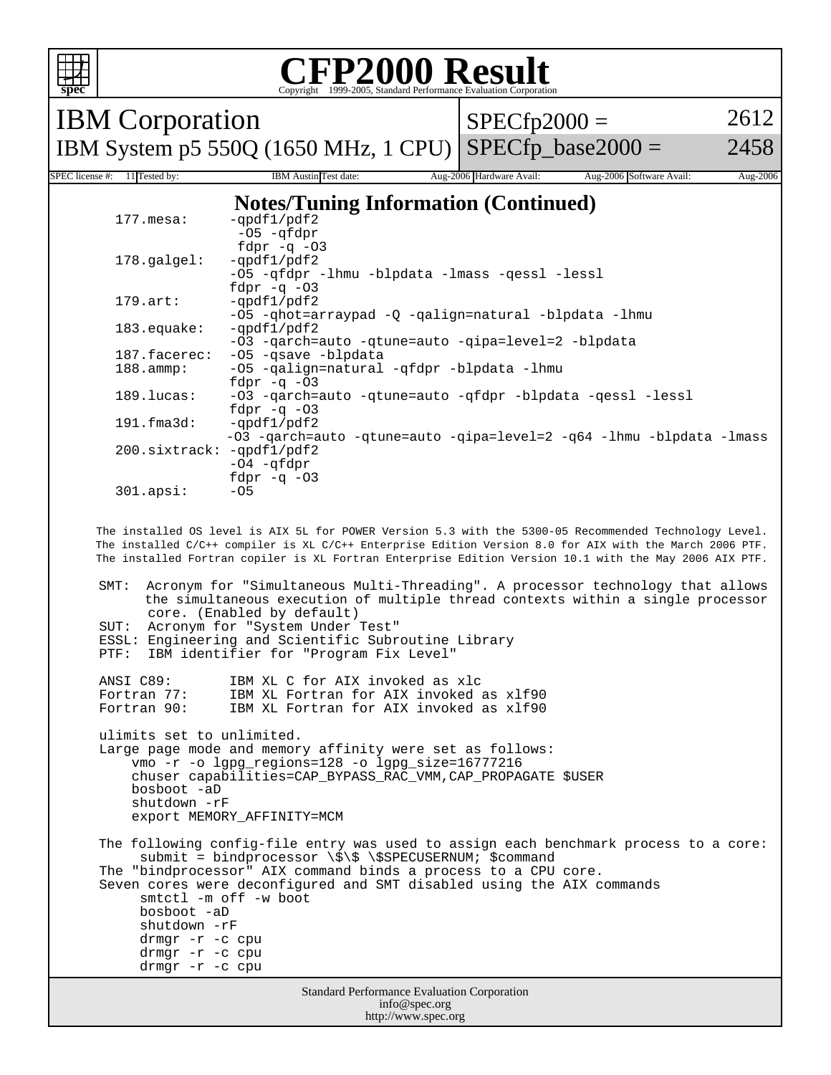

#### **CFP2000 Result** Copyright 1999-2005, Standard Performance Evaluation Corporation

IBM Corporation IBM System p5 550Q (1650 MHz, 1 CPU)

 $SPECfp2000 =$ 

2612

 $SPECfp\_base2000 =$ 2458

SPEC license #: 11 Tested by: IBM Austin Test date: Aug-2006 Hardware Avail: Aug-2006 Software Avail: Aug-2006 **Notes/Tuning Information (Continued)**

| $177.\text{mesa}$ :    | -gpdf1/pdf2                                                          |
|------------------------|----------------------------------------------------------------------|
|                        | $-05 - qfdpr$                                                        |
|                        | fdpr $-q$ $-03$                                                      |
| $178.\text{qalgel}$ :  | -qpdf1/pdf2                                                          |
|                        | -05 -qfdpr -lhmu -blpdata -lmass -qessl -lessl                       |
|                        | fdpr $-q$ $-03$                                                      |
| $179.\text{art}:$      | $-qpdf1/pdf2$                                                        |
|                        | -05 -ghot=arraypad -0 -galign=natural -blpdata -lhmu                 |
| $183$ .equake:         | -gpdf1/pdf2                                                          |
|                        | -03 -garch=auto -gtune=auto -gipa=level=2 -blpdata                   |
| $187.\text{facerez}$ : | -05 -gsave -blpdata                                                  |
| $188.\text{amm}:$      | -05 -galign=natural -gfdpr -blpdata -lhmu                            |
|                        | fd $pr -q -03$                                                       |
| $189.$ lucas:          | -03 -garch=auto -gtune=auto -gfdpr -blpdata -gessl -lessl            |
|                        | fd $pr -q -03$                                                       |
| $191.f$ ma $3d$ :      | $-\alpha$ pdf $1/\text{pdf}2$                                        |
|                        | -03 -qarch=auto -qtune=auto -qipa=level=2 -q64 -lhmu -blpdata -lmass |
|                        | -qpdf1/pdf2                                                          |
|                        | $-04 - qfdpr$                                                        |
|                        | fdpr $-q$ $-03$                                                      |
| $301.\n$ apsi:         | $-05$                                                                |
|                        | 200.sixtrack:                                                        |

 The installed OS level is AIX 5L for POWER Version 5.3 with the 5300-05 Recommended Technology Level. The installed C/C++ compiler is XL C/C++ Enterprise Edition Version 8.0 for AIX with the March 2006 PTF. The installed Fortran copiler is XL Fortran Enterprise Edition Version 10.1 with the May 2006 AIX PTF.

Standard Performance Evaluation Corporation SMT: Acronym for "Simultaneous Multi-Threading". A processor technology that allows the simultaneous execution of multiple thread contexts within a single processor core. (Enabled by default) SUT: Acronym for "System Under Test" ESSL: Engineering and Scientific Subroutine Library PTF: IBM identifier for "Program Fix Level" ANSI C89: IBM XL C for AIX invoked as xlc<br>Fortran 77: IBM XL Fortran for AIX invoked Fortran 77: IBM XL Fortran for AIX invoked as xlf90<br>Fortran 90: IBM XL Fortran for AIX invoked as xlf90 IBM XL Fortran for AIX invoked as xlf90 ulimits set to unlimited. Large page mode and memory affinity were set as follows: vmo -r -o lgpg\_regions=128 -o lgpg\_size=16777216 chuser capabilities=CAP\_BYPASS\_RAC\_VMM,CAP\_PROPAGATE \$USER bosboot -aD shutdown -rF export MEMORY\_AFFINITY=MCM The following config-file entry was used to assign each benchmark process to a core: submit = bindprocessor  $\sqrt{\frac{1}{5}} \$  \\$SPECUSERNUM; \$command The "bindprocessor" AIX command binds a process to a CPU core. Seven cores were deconfigured and SMT disabled using the AIX commands smtctl -m off -w boot bosboot -aD shutdown -rF drmgr -r -c cpu drmgr -r -c cpu drmgr -r -c cpu

info@spec.org http://www.spec.org